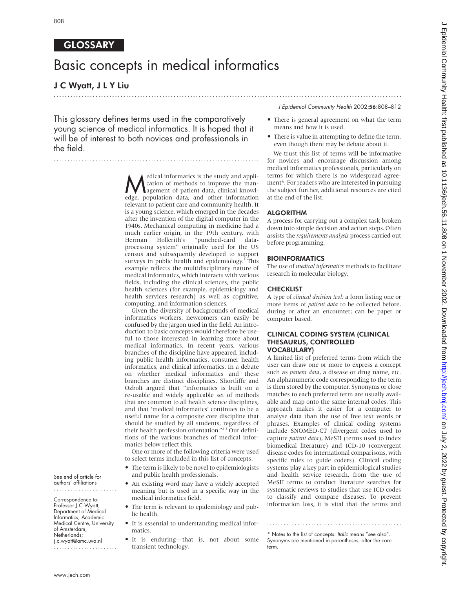# **GLOSSARY**

# Basic concepts in medical informatics

# J C Wyatt, J L Y Liu

# ............................................................................................................................. J Epidemiol Community Health 2002;56:808–812

This glossary defines terms used in the comparatively young science of medical informatics. It is hoped that it will be of interest to both novices and professionals in the field.

..........................................................................

Medical informatics is the study and application of methods to improve the man-<br>agement of patient data, clinical knowledge population data and other information cation of methods to improve the management of patient data, clinical knowledge, population data, and other information relevant to patient care and community health. It is a young science, which emerged in the decades after the invention of the digital computer in the 1940s. Mechanical computing in medicine had a much earlier origin, in the 19th century, with<br>Herman Hollerith's "punched-card data-Herman Hollerith's processing system" originally used for the US census and subsequently developed to support surveys in public health and epidemiology.<sup>1</sup> This example reflects the multidisciplinary nature of medical informatics, which interacts with various fields, including the clinical sciences, the public health sciences (for example, epidemiology and health services research) as well as cognitive, computing, and information sciences.

Given the diversity of backgrounds of medical informatics workers, newcomers can easily be confused by the jargon used in the field. An introduction to basic concepts would therefore be useful to those interested in learning more about medical informatics. In recent years, various branches of the discipline have appeared, including public health informatics, consumer health informatics, and clinical informatics. In a debate on whether medical informatics and these branches are distinct disciplines, Shortliffe and Ozbolt argued that "informatics is built on a re-usable and widely applicable set of methods that are common to all health science disciplines, and that 'medical informatics' continues to be a useful name for a composite core discipline that should be studied by all students, regardless of their health profession orientation."<sup>23</sup> Our definitions of the various branches of medical informatics below reflect this.

One or more of the following criteria were used to select terms included in this list of concepts:

- The term is likely to be novel to epidemiologists and public health professionals.
- An existing word may have a widely accepted meaning but is used in a specific way in the medical informatics field.
- The term is relevant to epidemiology and public health.
- It is essential to understanding medical informatics.
- It is enduring—that is, not about some transient technology.

• There is general agreement on what the term means and how it is used.

• There is value in attempting to define the term, even though there may be debate about it.

We trust this list of terms will be informative for novices and encourage discussion among medical informatics professionals, particularly on terms for which there is no widespread agreement\*. For readers who are interested in pursuing the subject further, additional resources are cited at the end of the list.

# ALGORITHM

A process for carrying out a complex task broken down into simple decision and action steps. Often assists the *requirements analysis* process carried out before programming.

#### BIOINFORMATICS

The use of *medical informatics* methods to facilitate research in molecular biology.

# **CHECKLIST**

term.

A type of *clinical decision tool:* a form listing one or more items of *patient data* to be collected before, during or after an encounter; can be paper or computer based.

#### CLINICAL CODING SYSTEM (CLINICAL THESAURUS, CONTROLLED VOCABULARY)

A limited list of preferred terms from which the user can draw one or more to express a concept such as *patient data*, a disease or drug name, etc. An alphanumeric code corresponding to the term is then stored by the computer. Synonyms or close matches to each preferred term are usually available and map onto the same internal codes. This approach makes it easier for a computer to analyse data than the use of free text words or phrases. Examples of clinical coding systems include SNOMED-CT (divergent codes used to capture *patient data*), MeSH (terms used to index biomedical literature) and ICD-10 (convergent disease codes for international comparisons, with specific rules to guide coders). Clinical coding systems play a key part in epidemiological studies and health service research, from the use of MeSH terms to conduct literature searches for systematic reviews to studies that use ICD codes to classify and compare diseases. To prevent information loss, it is vital that the terms and

.................................................

See end of article for authors' affiliations .......................

Correspondence to: Professor J C Wyatt, Department of Medical Informatics, Academic Medical Centre, University of Amsterdam, Netherlands; j.c.wyatt@amc.uva.nl

.......................

<sup>\*</sup> Notes to the list of concepts: Italic means "see also". Synonyms are mentioned in parentheses, after the core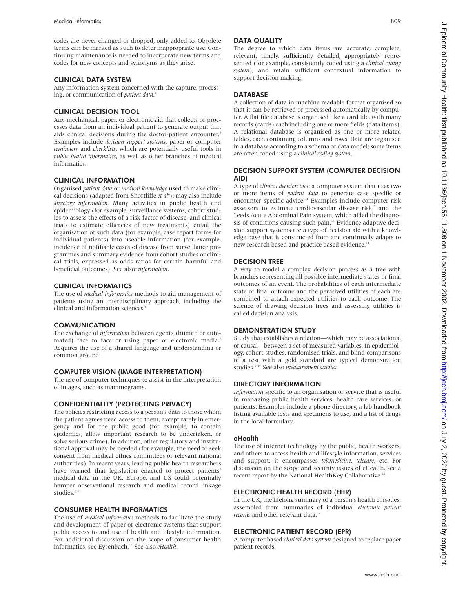codes are never changed or dropped, only added to. Obsolete terms can be marked as such to deter inappropriate use. Continuing maintenance is needed to incorporate new terms and codes for new concepts and synonyms as they arise.

#### CLINICAL DATA SYSTEM

Any information system concerned with the capture, processing, or communication of *patient data.*<sup>4</sup>

#### CLINICAL DECISION TOOL

Any mechanical, paper, or electronic aid that collects or processes data from an individual patient to generate output that aids clinical decisions during the doctor-patient encounter.<sup>5</sup> Examples include *decision support systems*, paper or computer *reminders* and *checklists*, which are potentially useful tools in *public health informatics*, as well as other branches of medical informatics.

#### CLINICAL INFORMATION

Organised *patient data* or *medical knowledge* used to make clinical decisions (adapted from Shortliffe et al<sup>6</sup>); may also include *directory information.* Many activities in public health and epidemiology (for example, surveillance systems, cohort studies to assess the effects of a risk factor of disease, and clinical trials to estimate efficacies of new treatments) entail the organisation of such data (for example, case report forms for individual patients) into useable information (for example, incidence of notifiable cases of disease from surveillance programmes and summary evidence from cohort studies or clinical trials, expressed as odds ratios for certain harmful and beneficial outcomes). See also: *information*.

#### CLINICAL INFORMATICS

The use of *medical informatics* methods to aid management of patients using an interdisciplinary approach, including the clinical and information sciences.<sup>6</sup>

#### **COMMUNICATION**

The exchange of *information* between agents (human or automated) face to face or using paper or electronic media.<sup>7</sup> Requires the use of a shared language and understanding or common ground.

#### COMPUTER VISION (IMAGE INTERPRETATION)

The use of computer techniques to assist in the interpretation of images, such as mammograms.

#### CONFIDENTIALITY (PROTECTING PRIVACY)

The policies restricting access to a person's data to those whom the patient agrees need access to them, except rarely in emergency and for the public good (for example, to contain epidemics, allow important research to be undertaken, or solve serious crime). In addition, other regulatory and institutional approval may be needed (for example, the need to seek consent from medical ethics committees or relevant national authorities). In recent years, leading public health researchers have warned that legislation enacted to protect patients' medical data in the UK, Europe, and US could potentially hamper observational research and medical record linkage studies.<sup>8</sup>

#### CONSUMER HEALTH INFORMATICS

The use of *medical informatics* methods to facilitate the study and development of paper or electronic systems that support public access to and use of health and lifestyle information. For additional discussion on the scope of consumer health informatics, see Eysenbach.10 See also *eHealth*.

### DATA QUALITY

The degree to which data items are accurate, complete, relevant, timely, sufficiently detailed, appropriately represented (for example, consistently coded using a *clinical coding system*), and retain sufficient contextual information to support decision making.

# **DATABASE**

A collection of data in machine readable format organised so that it can be retrieved or processed automatically by computer. A flat file database is organised like a card file, with many records (cards) each including one or more fields (data items). A relational database is organised as one or more related tables, each containing columns and rows. Data are organised in a database according to a schema or data model; some items are often coded using a *clinical coding system*.

#### DECISION SUPPORT SYSTEM (COMPUTER DECISION AID)

A type of *clinical decision tool*: a computer system that uses two or more items of *patient data* to generate case specific or encounter specific advice.<sup>11</sup> Examples include computer risk assessors to estimate cardiovascular disease risk $12$  and the Leeds Acute Abdominal Pain system, which aided the diagnosis of conditions causing such pain.13 Evidence adaptive decision support systems are a type of decision aid with a knowledge base that is constructed from and continually adapts to new research based and practice based evidence.<sup>14</sup>

#### DECISION TREE

A way to model a complex decision process as a tree with branches representing all possible intermediate states or final outcomes of an event. The probabilities of each intermediate state or final outcome and the perceived utilities of each are combined to attach expected utilities to each outcome. The science of drawing decision trees and assessing utilities is called decision analysis.

#### DEMONSTRATION STUDY

Study that establishes a relation—which may be associational or causal—between a set of measured variables. In epidemiology, cohort studies, randomised trials, and blind comparisons of a test with a gold standard are typical demonstration studies.6 15 See also *measurement studies.*

#### DIRECTORY INFORMATION

*Information* specific to an organisation or service that is useful in managing public health services, health care services, or patients. Examples include a phone directory, a lab handbook listing available tests and specimens to use, and a list of drugs in the local formulary.

#### eHealth

The use of internet technology by the public, health workers, and others to access health and lifestyle information, services and support; it encompasses *telemedicine*, *telecare*, etc. For discussion on the scope and security issues of eHealth, see a recent report by the National HealthKey Collaborative.<sup>16</sup>

#### ELECTRONIC HEALTH RECORD (EHR)

In the UK, the lifelong summary of a person's health episodes, assembled from summaries of individual *electronic patient records* and other relevant data.<sup>1</sup>

#### ELECTRONIC PATIENT RECORD (EPR)

A computer based *clinical data system* designed to replace paper patient records.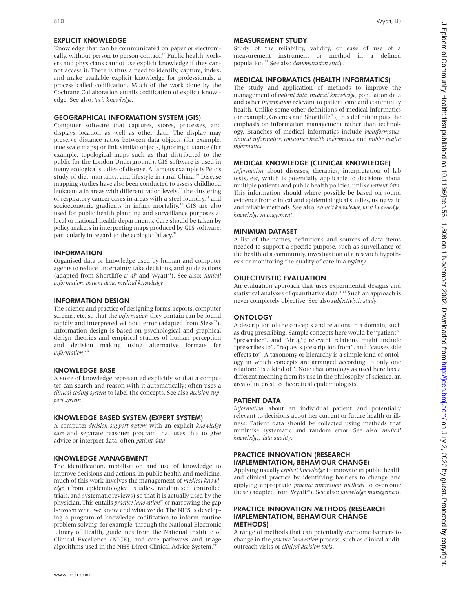Knowledge that can be communicated on paper or electronically, without person to person contact.<sup>18</sup> Public health workers and physicians cannot use explicit knowledge if they cannot access it. There is thus a need to identify, capture, index, and make available explicit knowledge for professionals, a process called codification. Much of the work done by the Cochrane Collaboration entails codification of explicit knowledge. See also: *tacit knowledge*.

# GEOGRAPHICAL INFORMATION SYSTEM (GIS)

Computer software that captures, stores, processes, and displays location as well as other data. The display may preserve distance ratios between data objects (for example, true scale maps) or link similar objects, ignoring distance (for example, topological maps such as that distributed to the public for the London Underground). GIS software is used in many ecological studies of disease. A famous example is Peto's study of diet, mortality, and lifestyle in rural China.<sup>19</sup> Disease mapping studies have also been conducted to assess childhood leukaemia in areas with different radon levels,<sup>20</sup> the clustering of respiratory cancer cases in areas with a steel foundry, $21$  and socioeconomic gradients in infant mortality.<sup>22</sup> GIS are also used for public health planning and surveillance purposes at local or national health departments. Care should be taken by policy makers in interpreting maps produced by GIS software, particularly in regard to the ecologic fallacy.<sup>23</sup>

#### INFORMATION

Organised data or knowledge used by human and computer agents to reduce uncertainty, take decisions, and guide actions (adapted from Shortliffe et al<sup>6</sup> and Wyatt<sup>24</sup>). See also: *clinical information, patient data, medical knowledge*.

# INFORMATION DESIGN

The science and practice of designing forms, reports, computer screens, etc, so that the *information* they contain can be found rapidly and interpreted without error (adapted from Sless<sup>25</sup>). Information design is based on psychological and graphical design theories and empirical studies of human perception and decision making using alternative formats for *information*. 25a

# KNOWLEDGE BASE

A store of knowledge represented explicitly so that a computer can search and reason with it automatically; often uses a *clinical coding system* to label the concepts. See also *decision support system*.

#### KNOWLEDGE BASED SYSTEM (EXPERT SYSTEM)

A computer *decision support system* with an explicit *knowledge base* and separate reasoner program that uses this to give advice or interpret data, often *patient data*.

#### KNOWLEDGE MANAGEMENT

The identification, mobilisation and use of knowledge to improve decisions and actions. In public health and medicine, much of this work involves the management of *medical knowledge* (from epidemiological studies, randomised controlled trials, and systematic reviews) so that it is actually used by the physician. This entails *practice innovation*<sup>26</sup> or narrowing the gap between what we know and what we do. The NHS is developing a program of knowledge codification to inform routine problem solving, for example, through the National Electronic Library of Health, guidelines from the National Institute of Clinical Excellence (NICE), and care pathways and triage algorithms used in the NHS Direct Clinical Advice System.<sup>27</sup>

# MEASUREMENT STUDY

Study of the reliability, validity, or ease of use of a measurement instrument or method in a defined population.15 See also *demonstration study*.

# MEDICAL INFORMATICS (HEALTH INFORMATICS)

The study and application of methods to improve the management of *patient data, medical knowledge,* population data and other *information* relevant to patient care and community health. Unlike some other definitions of medical informatics (or example, Greenes and Shortliffe28), this definition puts the emphasis on information management rather than technology. Branches of medical informatics include *bioinformatics, clinical informatics, consumer health informatics* and *public health informatics.*

# MEDICAL KNOWLEDGE (CLINICAL KNOWLEDGE)

*Information* about diseases, therapies, interpretation of lab tests, etc, which is potentially applicable to decisions about multiple patients and public health policies, unlike *patient data*. This information should where possible be based on sound evidence from clinical and epidemiological studies, using valid and reliable methods. See also:*explicit knowledge, tacit knowledge, knowledge management*.

# MINIMUM DATASET

A list of the names, definitions and sources of data items needed to support a specific purpose, such as surveillance of the health of a community, investigation of a research hypothesis or monitoring the quality of care in a *registry*.

# OBJECTIVISTIC EVALUATION

An evaluation approach that uses experimental designs and statistical analyses of quantitative data.<sup>6 15</sup> Such an approach is never completely objective. See also *subjectivistic study*.

# **ONTOLOGY**

A description of the concepts and relations in a domain, such as drug prescribing. Sample concepts here would be "patient", "prescriber", and "drug"; relevant relations might include "prescribes to", "requests prescription from", and "causes side effects to". A taxonomy or hierarchy is a simple kind of ontology in which concepts are arranged according to only one relation: "is a kind of". Note that ontology as used here has a different meaning from its use in the philosophy of science, an area of interest to theoretical epidemiologists.

# PATIENT DATA

*Information* about an individual patient and potentially relevant to decisions about her current or future health or illness. Patient data should be collected using methods that minimise systematic and random error. See also: *medical knowledge, data quality*.

#### PRACTICE INNOVATION (RESEARCH IMPLEMENTATION, BEHAVIOUR CHANGE)

Applying usually *explicit knowledge* to innovate in public health and clinical practice by identifying barriers to change and applying appropriate *practice innovation methods* to overcome these (adapted from Wyatt<sup>26</sup>). See also: *knowledge management*.

#### PRACTICE INNOVATION METHODS (RESEARCH IMPLEMENTATION, BEHAVIOUR CHANGE METHODS)

A range of methods that can potentially overcome barriers to change in the *practice innovation* process, such as clinical audit, outreach visits or *clinical decision tools*.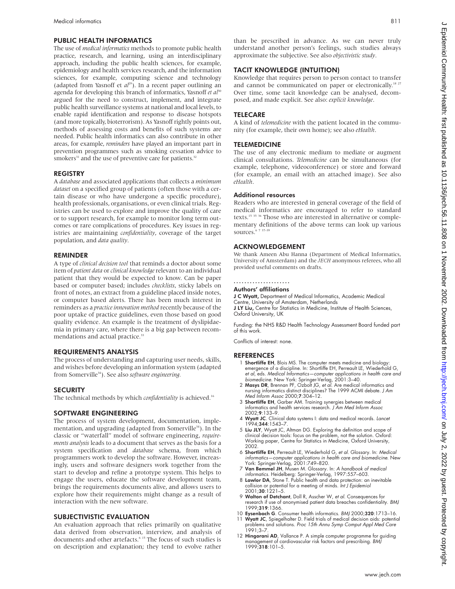#### PUBLIC HEALTH INFORMATICS

The use of *medical informatics* methods to promote public health practice, research, and learning, using an interdisciplinary approach, including the public health sciences, for example, epidemiology and health services research, and the information sciences, for example, computing science and technology (adapted from Yasnoff et  $al^{29}$ ). In a recent paper outlining an agenda for developing this branch of informatics, Yasnoff *et al*<sup>30</sup> argued for the need to construct, implement, and integrate public health surveillance systems at national and local levels, to enable rapid identification and response to disease hotspots (and more topically, bioterrorism). As Yasnoff rightly points out, methods of assessing costs and benefits of such systems are needed. Public health informatics can also contribute in other areas, for example, *reminders* have played an important part in prevention programmes such as smoking cessation advice to smokers<sup>31</sup> and the use of preventive care for patients.<sup>32</sup>

#### REGISTRY

A *database* and associated applications that collects a *minimum dataset* on a specified group of patients (often those with a certain disease or who have undergone a specific procedure), health professionals, organisations, or even clinical trials. Registries can be used to explore and improve the quality of care or to support research, for example to monitor long term outcomes or rare complications of procedures. Key issues in registries are maintaining *confidentiality*, coverage of the target population, and *data quality*.

#### REMINDER

A type of *clinical decision tool* that reminds a doctor about some item of *patient data* or *clinical knowledge* relevant to an individual patient that they would be expected to know. Can be paper based or computer based; includes *checklists*, sticky labels on front of notes, an extract from a guideline placed inside notes, or computer based alerts. There has been much interest in reminders as a *practice innovation method* recently because of the poor uptake of practice guidelines, even those based on good quality evidence. An example is the treatment of dyslipidaemia in primary care, where there is a big gap between recommendations and actual practice.<sup>33</sup>

#### REQUIREMENTS ANALYSIS

The process of understanding and capturing user needs, skills, and wishes before developing an information system (adapted from Somerville34). See also *software engineering.*

#### **SECURITY**

The technical methods by which *confidentiality* is achieved.<sup>16</sup>

#### SOFTWARE ENGINEERING

The process of system development, documentation, implementation, and upgrading (adapted from Somerville<sup>34</sup>). In the classic or "waterfall" model of software engineering, *requirements analysis* leads to a document that serves as the basis for a system specification and *database* schema, from which programmers work to develop the software. However, increasingly, users and software designers work together from the start to develop and refine a prototype system. This helps to engage the users, educate the software development team, brings the requirements documents alive, and allows users to explore how their requirements might change as a result of interaction with the new software.

#### SUBJECTIVISTIC EVALUATION

An evaluation approach that relies primarily on qualitative data derived from observation, interview, and analysis of documents and other artefacts.<sup>6</sup> <sup>15</sup> The focus of such studies is on description and explanation; they tend to evolve rather

than be prescribed in advance. As we can never truly understand another person's feelings, such studies always approximate the subjective. See also *objectivistic study*.

#### TACIT KNOWLEDGE (INTUITION)

Knowledge that requires person to person contact to transfer and cannot be communicated on paper or electronically.<sup>18 27</sup> Over time, some tacit knowledge can be analysed, decomposed, and made explicit. See also: *explicit knowledge*.

#### TELECARE

A kind of *telemedicine* with the patient located in the community (for example, their own home); see also *eHealth*.

#### TELEMEDICINE

The use of any electronic medium to mediate or augment clinical consultations. *Telemedicine* can be simultaneous (for example, telephone, videoconference) or store and forward (for example, an email with an attached image). See also *eHealth*.

#### Additional resources

Readers who are interested in general coverage of the field of medical informatics are encouraged to refer to standard texts.<sup>15 35 36</sup> Those who are interested in alternative or complementary definitions of the above terms can look up various sources.<sup>6</sup>

#### ACKNOWLEDGEMENT

We thank Ameen Abu Hanna (Department of Medical Informatics, University of Amsterdam) and the *JECH* anonymous referees, who all provided useful comments on drafts.

### .....................

Authors' affiliations

J C Wyatt, Department of Medical Informatics, Academic Medical Centre, University of Amsterdam, Netherlands J LY Liu, Centre for Statistics in Medicine, Institute of Health Sciences, Oxford University, UK

Funding: the NHS R&D Health Technology Assessment Board funded part of this work.

Conflicts of interest: none.

#### **REFERENCES**

- 1 Shortliffe EH, Blois MS. The computer meets medicine and biology: emergence of a discipline. In: Shortliffe EH, Perreault LE, Wiederhold G, et al, eds. Medical Informatics—computer applications in health care and<br>biomedicine. New York: Springer-Verlag, 2001:3–40.<br>**2 Masys DR**, Brennan PF, Ozbolt JG, et al. Are medical informatics and<br>nursing informatics distin
- Med Inform Assoc 2000;7:304–12.
- 3 Shortliffe EH, Garber AM. Training synergies between medical informatics and health services research. J Am Med Inform Assoc 2002;9:133–9.
- 4 Wyatt JC. Clinical data systems I: data and medical records. Lancet 1994;344:1543–7.
- 5 Liu JLY, Wyatt JC, Altman DG. Exploring the definition and scope of clinical decision tools: focus on the problem, not the solution. Oxford: Working paper, Centre for Statistics in Medicine, Oxford University, 2002.
- 6 Shortliffe EH, Perreault LE, Wiederhold G, et al. Glossary. In: Medical informatics—computer applications in health care and biomedicine. New York: Springer-Verlag, 2001:749–820.
- 7 Van Bemmel JH, Musen M. Glossary. In: A handbook of medical informatics. Heidelberg: Springer-Verlag, 1997:557–603. 8 Lawlor DA, Stone T. Public health and data protection: an inevitable
- collision or potential for a meeting of minds. *Int J Epidemiol*<br>2001;**30**:1221–5.
- 9 Walton of Detchant, Doll R, Asscher W, et al. Consequences for research if use of anonymised patient data breaches confidentiality. BMJ 1999;319:1366.
- 10 Eysenbach G. Consumer health informatics. BMJ 2000;320:1713–16.
- 11 Wyatt JC, Spiegelhalter D. Field trials of medical decision aids: potential problems and solutions. Proc 15th Annu Symp Comput Appl Med Care 1991;3–7.
- 12 Hingorani AD, Vallance P. A simple computer programme for guiding management of cardiovascular risk factors and prescribing. BMJ 1999;318:101–5.